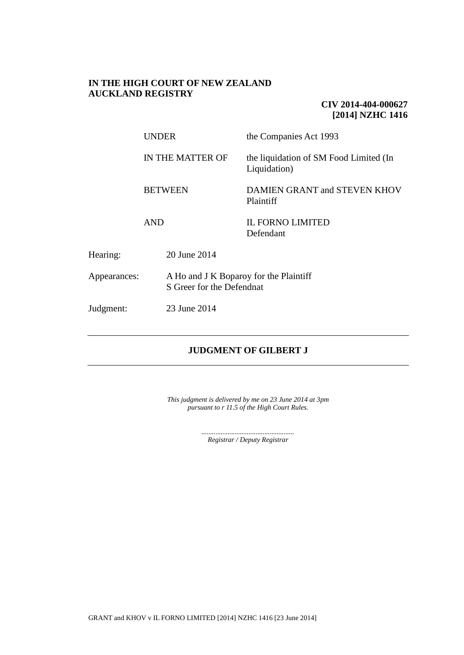## **IN THE HIGH COURT OF NEW ZEALAND AUCKLAND REGISTRY**

## **CIV 2014-404-000627 [2014] NZHC 1416**

|              | UNDER<br>IN THE MATTER OF<br><b>BETWEEN</b><br><b>AND</b>           |              | the Companies Act 1993                                 |
|--------------|---------------------------------------------------------------------|--------------|--------------------------------------------------------|
|              |                                                                     |              | the liquidation of SM Food Limited (In<br>Liquidation) |
|              |                                                                     |              | DAMIEN GRANT and STEVEN KHOV<br>Plaintiff              |
|              |                                                                     |              | <b>IL FORNO LIMITED</b><br>Defendant                   |
| Hearing:     |                                                                     | 20 June 2014 |                                                        |
| Appearances: | A Ho and J K Boparoy for the Plaintiff<br>S Greer for the Defendnat |              |                                                        |
| Judgment:    |                                                                     | 23 June 2014 |                                                        |

# **JUDGMENT OF GILBERT J**

*This judgment is delivered by me on 23 June 2014 at 3pm pursuant to r 11.5 of the High Court Rules.*

> *..................................................... Registrar / Deputy Registrar*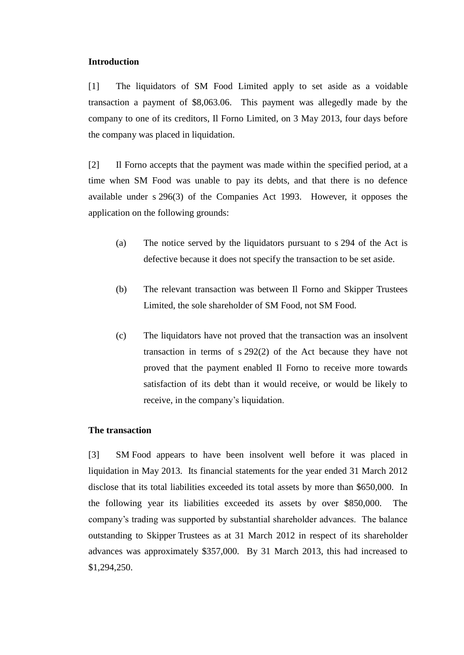## **Introduction**

[1] The liquidators of SM Food Limited apply to set aside as a voidable transaction a payment of \$8,063.06. This payment was allegedly made by the company to one of its creditors, Il Forno Limited, on 3 May 2013, four days before the company was placed in liquidation.

[2] Il Forno accepts that the payment was made within the specified period, at a time when SM Food was unable to pay its debts, and that there is no defence available under s 296(3) of the Companies Act 1993. However, it opposes the application on the following grounds:

- (a) The notice served by the liquidators pursuant to s 294 of the Act is defective because it does not specify the transaction to be set aside.
- (b) The relevant transaction was between Il Forno and Skipper Trustees Limited, the sole shareholder of SM Food, not SM Food.
- (c) The liquidators have not proved that the transaction was an insolvent transaction in terms of s 292(2) of the Act because they have not proved that the payment enabled Il Forno to receive more towards satisfaction of its debt than it would receive, or would be likely to receive, in the company's liquidation.

### **The transaction**

[3] SM Food appears to have been insolvent well before it was placed in liquidation in May 2013. Its financial statements for the year ended 31 March 2012 disclose that its total liabilities exceeded its total assets by more than \$650,000. In the following year its liabilities exceeded its assets by over \$850,000. The company's trading was supported by substantial shareholder advances. The balance outstanding to Skipper Trustees as at 31 March 2012 in respect of its shareholder advances was approximately \$357,000. By 31 March 2013, this had increased to \$1,294,250.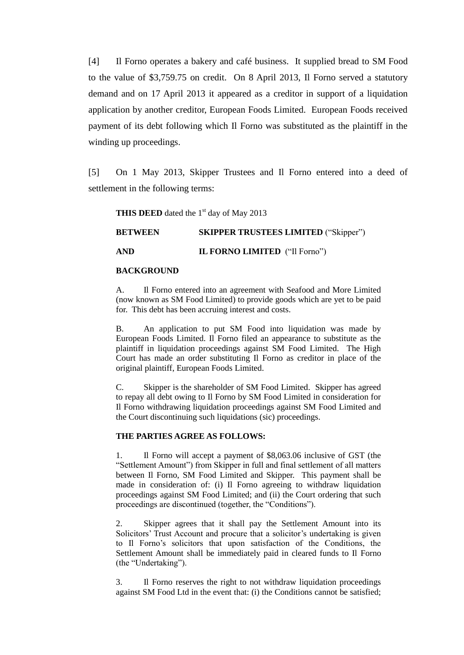[4] Il Forno operates a bakery and café business. It supplied bread to SM Food to the value of \$3,759.75 on credit. On 8 April 2013, Il Forno served a statutory demand and on 17 April 2013 it appeared as a creditor in support of a liquidation application by another creditor, European Foods Limited. European Foods received payment of its debt following which Il Forno was substituted as the plaintiff in the winding up proceedings.

[5] On 1 May 2013, Skipper Trustees and Il Forno entered into a deed of settlement in the following terms:

**THIS DEED** dated the 1<sup>st</sup> day of May 2013

**BETWEEN SKIPPER TRUSTEES LIMITED** ("Skipper")

**AND IL FORNO LIMITED** ("Il Forno")

### **BACKGROUND**

A. Il Forno entered into an agreement with Seafood and More Limited (now known as SM Food Limited) to provide goods which are yet to be paid for. This debt has been accruing interest and costs.

B. An application to put SM Food into liquidation was made by European Foods Limited. Il Forno filed an appearance to substitute as the plaintiff in liquidation proceedings against SM Food Limited. The High Court has made an order substituting Il Forno as creditor in place of the original plaintiff, European Foods Limited.

C. Skipper is the shareholder of SM Food Limited. Skipper has agreed to repay all debt owing to Il Forno by SM Food Limited in consideration for Il Forno withdrawing liquidation proceedings against SM Food Limited and the Court discontinuing such liquidations (sic) proceedings.

#### **THE PARTIES AGREE AS FOLLOWS:**

1. Il Forno will accept a payment of \$8,063.06 inclusive of GST (the "Settlement Amount") from Skipper in full and final settlement of all matters between Il Forno, SM Food Limited and Skipper. This payment shall be made in consideration of: (i) Il Forno agreeing to withdraw liquidation proceedings against SM Food Limited; and (ii) the Court ordering that such proceedings are discontinued (together, the "Conditions").

2. Skipper agrees that it shall pay the Settlement Amount into its Solicitors' Trust Account and procure that a solicitor's undertaking is given to Il Forno's solicitors that upon satisfaction of the Conditions, the Settlement Amount shall be immediately paid in cleared funds to Il Forno (the "Undertaking").

3. Il Forno reserves the right to not withdraw liquidation proceedings against SM Food Ltd in the event that: (i) the Conditions cannot be satisfied;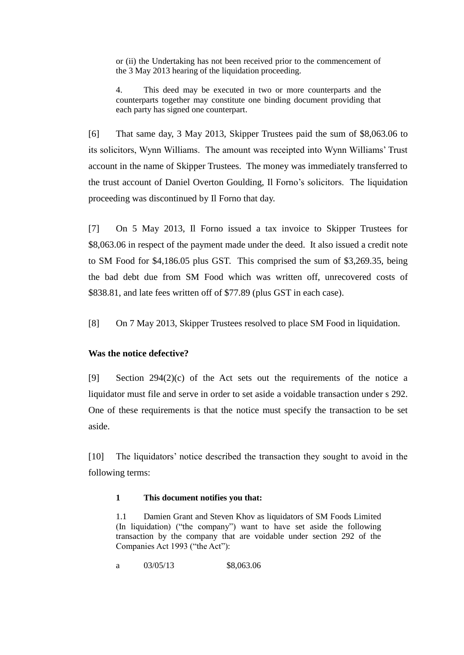or (ii) the Undertaking has not been received prior to the commencement of the 3 May 2013 hearing of the liquidation proceeding.

4. This deed may be executed in two or more counterparts and the counterparts together may constitute one binding document providing that each party has signed one counterpart.

[6] That same day, 3 May 2013, Skipper Trustees paid the sum of \$8,063.06 to its solicitors, Wynn Williams. The amount was receipted into Wynn Williams' Trust account in the name of Skipper Trustees. The money was immediately transferred to the trust account of Daniel Overton Goulding, Il Forno's solicitors. The liquidation proceeding was discontinued by Il Forno that day.

[7] On 5 May 2013, Il Forno issued a tax invoice to Skipper Trustees for \$8,063.06 in respect of the payment made under the deed. It also issued a credit note to SM Food for \$4,186.05 plus GST. This comprised the sum of \$3,269.35, being the bad debt due from SM Food which was written off, unrecovered costs of \$838.81, and late fees written off of \$77.89 (plus GST in each case).

[8] On 7 May 2013, Skipper Trustees resolved to place SM Food in liquidation.

# **Was the notice defective?**

[9] Section 294(2)(c) of the Act sets out the requirements of the notice a liquidator must file and serve in order to set aside a voidable transaction under s 292. One of these requirements is that the notice must specify the transaction to be set aside.

[10] The liquidators' notice described the transaction they sought to avoid in the following terms:

## **1 This document notifies you that:**

1.1 Damien Grant and Steven Khov as liquidators of SM Foods Limited (In liquidation) ("the company") want to have set aside the following transaction by the company that are voidable under section 292 of the Companies Act 1993 ("the Act"):

a 03/05/13 \$8,063.06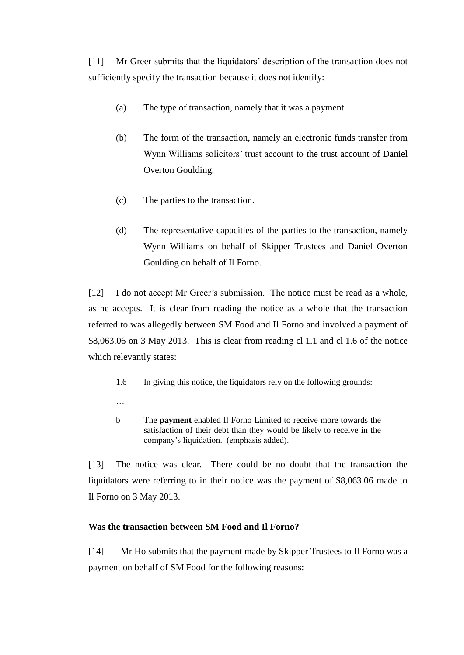[11] Mr Greer submits that the liquidators' description of the transaction does not sufficiently specify the transaction because it does not identify:

- (a) The type of transaction, namely that it was a payment.
- (b) The form of the transaction, namely an electronic funds transfer from Wynn Williams solicitors' trust account to the trust account of Daniel Overton Goulding.
- (c) The parties to the transaction.
- (d) The representative capacities of the parties to the transaction, namely Wynn Williams on behalf of Skipper Trustees and Daniel Overton Goulding on behalf of Il Forno.

[12] I do not accept Mr Greer's submission. The notice must be read as a whole, as he accepts. It is clear from reading the notice as a whole that the transaction referred to was allegedly between SM Food and Il Forno and involved a payment of \$8,063.06 on 3 May 2013. This is clear from reading cl 1.1 and cl 1.6 of the notice which relevantly states:

- 1.6 In giving this notice, the liquidators rely on the following grounds:
- …
- b The **payment** enabled Il Forno Limited to receive more towards the satisfaction of their debt than they would be likely to receive in the company's liquidation. (emphasis added).

[13] The notice was clear. There could be no doubt that the transaction the liquidators were referring to in their notice was the payment of \$8,063.06 made to Il Forno on 3 May 2013.

# **Was the transaction between SM Food and Il Forno?**

[14] Mr Ho submits that the payment made by Skipper Trustees to Il Forno was a payment on behalf of SM Food for the following reasons: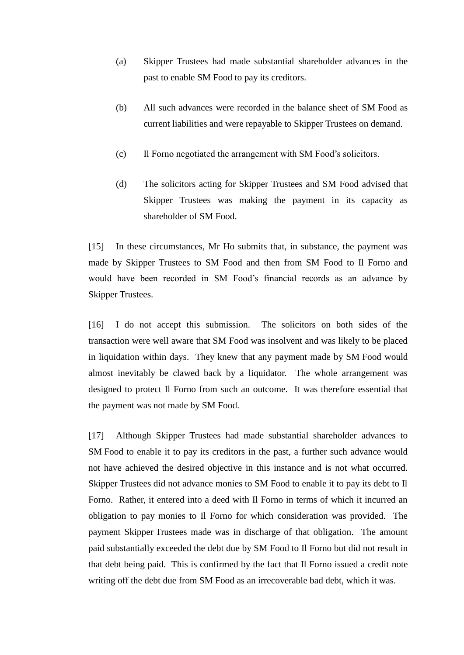- (a) Skipper Trustees had made substantial shareholder advances in the past to enable SM Food to pay its creditors.
- (b) All such advances were recorded in the balance sheet of SM Food as current liabilities and were repayable to Skipper Trustees on demand.
- (c) Il Forno negotiated the arrangement with SM Food's solicitors.
- (d) The solicitors acting for Skipper Trustees and SM Food advised that Skipper Trustees was making the payment in its capacity as shareholder of SM Food.

[15] In these circumstances, Mr Ho submits that, in substance, the payment was made by Skipper Trustees to SM Food and then from SM Food to Il Forno and would have been recorded in SM Food's financial records as an advance by Skipper Trustees.

[16] I do not accept this submission. The solicitors on both sides of the transaction were well aware that SM Food was insolvent and was likely to be placed in liquidation within days. They knew that any payment made by SM Food would almost inevitably be clawed back by a liquidator. The whole arrangement was designed to protect Il Forno from such an outcome. It was therefore essential that the payment was not made by SM Food.

[17] Although Skipper Trustees had made substantial shareholder advances to SM Food to enable it to pay its creditors in the past, a further such advance would not have achieved the desired objective in this instance and is not what occurred. Skipper Trustees did not advance monies to SM Food to enable it to pay its debt to Il Forno. Rather, it entered into a deed with Il Forno in terms of which it incurred an obligation to pay monies to Il Forno for which consideration was provided. The payment Skipper Trustees made was in discharge of that obligation. The amount paid substantially exceeded the debt due by SM Food to Il Forno but did not result in that debt being paid. This is confirmed by the fact that Il Forno issued a credit note writing off the debt due from SM Food as an irrecoverable bad debt, which it was.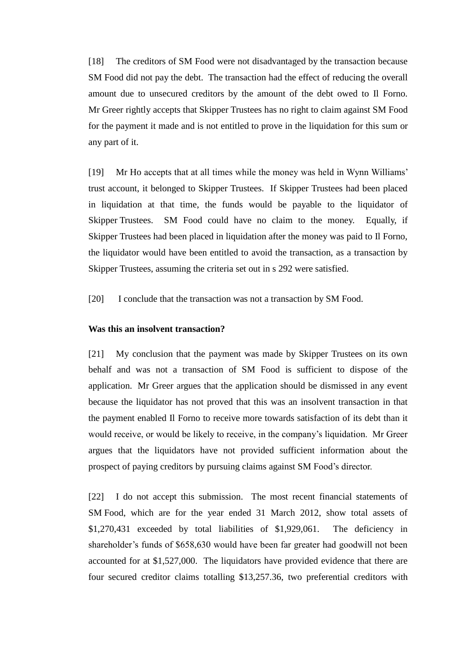[18] The creditors of SM Food were not disadvantaged by the transaction because SM Food did not pay the debt. The transaction had the effect of reducing the overall amount due to unsecured creditors by the amount of the debt owed to Il Forno. Mr Greer rightly accepts that Skipper Trustees has no right to claim against SM Food for the payment it made and is not entitled to prove in the liquidation for this sum or any part of it.

[19] Mr Ho accepts that at all times while the money was held in Wynn Williams' trust account, it belonged to Skipper Trustees. If Skipper Trustees had been placed in liquidation at that time, the funds would be payable to the liquidator of Skipper Trustees. SM Food could have no claim to the money. Equally, if Skipper Trustees had been placed in liquidation after the money was paid to Il Forno, the liquidator would have been entitled to avoid the transaction, as a transaction by Skipper Trustees, assuming the criteria set out in s 292 were satisfied.

[20] I conclude that the transaction was not a transaction by SM Food.

### **Was this an insolvent transaction?**

[21] My conclusion that the payment was made by Skipper Trustees on its own behalf and was not a transaction of SM Food is sufficient to dispose of the application. Mr Greer argues that the application should be dismissed in any event because the liquidator has not proved that this was an insolvent transaction in that the payment enabled Il Forno to receive more towards satisfaction of its debt than it would receive, or would be likely to receive, in the company's liquidation. Mr Greer argues that the liquidators have not provided sufficient information about the prospect of paying creditors by pursuing claims against SM Food's director.

[22] I do not accept this submission. The most recent financial statements of SM Food, which are for the year ended 31 March 2012, show total assets of \$1,270,431 exceeded by total liabilities of \$1,929,061. The deficiency in shareholder's funds of \$658,630 would have been far greater had goodwill not been accounted for at \$1,527,000. The liquidators have provided evidence that there are four secured creditor claims totalling \$13,257.36, two preferential creditors with